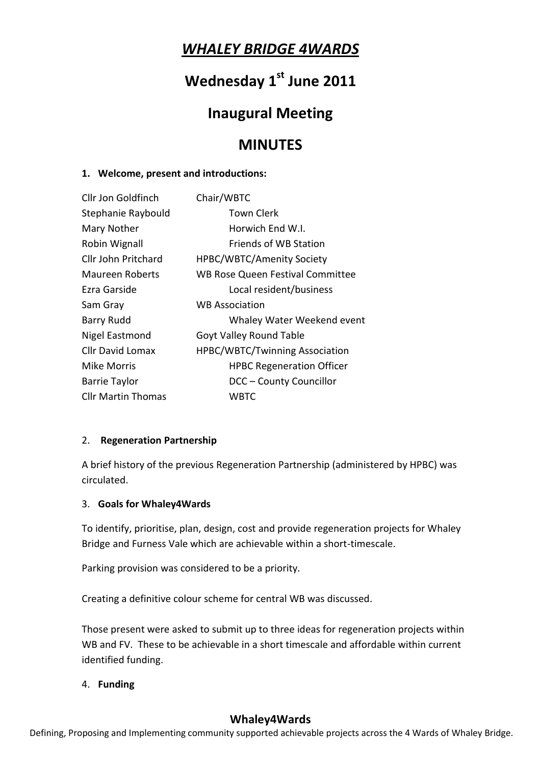# *WHALEY BRIDGE 4WARDS*

# **Wednesday 1st June 2011**

# **Inaugural Meeting**

# **MINUTES**

#### **1. Welcome, present and introductions:**

| Cllr Jon Goldfinch        | Chair/WBTC                              |
|---------------------------|-----------------------------------------|
| Stephanie Raybould        | Town Clerk                              |
| Mary Nother               | Horwich End W.I.                        |
| Robin Wignall             | <b>Friends of WB Station</b>            |
| Cllr John Pritchard       | <b>HPBC/WBTC/Amenity Society</b>        |
| <b>Maureen Roberts</b>    | <b>WB Rose Queen Festival Committee</b> |
| Ezra Garside              | Local resident/business                 |
| Sam Gray                  | <b>WB Association</b>                   |
| <b>Barry Rudd</b>         | Whaley Water Weekend event              |
| Nigel Eastmond            | Goyt Valley Round Table                 |
| <b>Cllr David Lomax</b>   | <b>HPBC/WBTC/Twinning Association</b>   |
| Mike Morris               | <b>HPBC Regeneration Officer</b>        |
| <b>Barrie Taylor</b>      | DCC - County Councillor                 |
| <b>Cllr Martin Thomas</b> | WBTC                                    |

#### 2. **Regeneration Partnership**

A brief history of the previous Regeneration Partnership (administered by HPBC) was circulated.

#### 3. **Goals for Whaley4Wards**

To identify, prioritise, plan, design, cost and provide regeneration projects for Whaley Bridge and Furness Vale which are achievable within a short-timescale.

Parking provision was considered to be a priority.

Creating a definitive colour scheme for central WB was discussed.

Those present were asked to submit up to three ideas for regeneration projects within WB and FV. These to be achievable in a short timescale and affordable within current identified funding.

### 4. **Funding**

## **Whaley4Wards**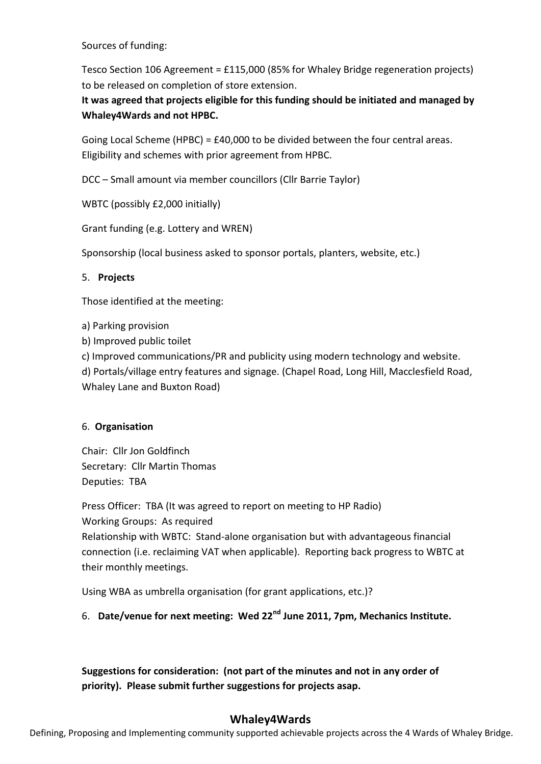Sources of funding:

Tesco Section 106 Agreement = £115,000 (85% for Whaley Bridge regeneration projects) to be released on completion of store extension.

**It was agreed that projects eligible for this funding should be initiated and managed by Whaley4Wards and not HPBC.**

Going Local Scheme (HPBC) = £40,000 to be divided between the four central areas. Eligibility and schemes with prior agreement from HPBC.

DCC – Small amount via member councillors (Cllr Barrie Taylor)

WBTC (possibly £2,000 initially)

Grant funding (e.g. Lottery and WREN)

Sponsorship (local business asked to sponsor portals, planters, website, etc.)

#### 5. **Projects**

Those identified at the meeting:

a) Parking provision

b) Improved public toilet

c) Improved communications/PR and publicity using modern technology and website.

d) Portals/village entry features and signage. (Chapel Road, Long Hill, Macclesfield Road, Whaley Lane and Buxton Road)

#### 6. **Organisation**

Chair: Cllr Jon Goldfinch Secretary: Cllr Martin Thomas Deputies: TBA

Press Officer: TBA (It was agreed to report on meeting to HP Radio) Working Groups: As required Relationship with WBTC: Stand-alone organisation but with advantageous financial connection (i.e. reclaiming VAT when applicable). Reporting back progress to WBTC at their monthly meetings.

Using WBA as umbrella organisation (for grant applications, etc.)?

## 6. **Date/venue for next meeting: Wed 22nd June 2011, 7pm, Mechanics Institute.**

**Suggestions for consideration: (not part of the minutes and not in any order of priority). Please submit further suggestions for projects asap.**

### **Whaley4Wards**

Defining, Proposing and Implementing community supported achievable projects across the 4 Wards of Whaley Bridge.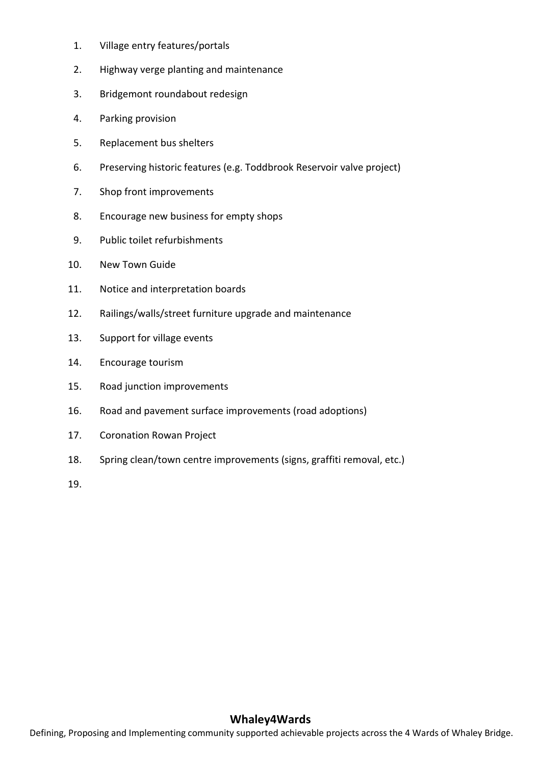- 1. Village entry features/portals
- 2. Highway verge planting and maintenance
- 3. Bridgemont roundabout redesign
- 4. Parking provision
- 5. Replacement bus shelters
- 6. Preserving historic features (e.g. Toddbrook Reservoir valve project)
- 7. Shop front improvements
- 8. Encourage new business for empty shops
- 9. Public toilet refurbishments
- 10. New Town Guide
- 11. Notice and interpretation boards
- 12. Railings/walls/street furniture upgrade and maintenance
- 13. Support for village events
- 14. Encourage tourism
- 15. Road junction improvements
- 16. Road and pavement surface improvements (road adoptions)
- 17. Coronation Rowan Project
- 18. Spring clean/town centre improvements (signs, graffiti removal, etc.)

19.